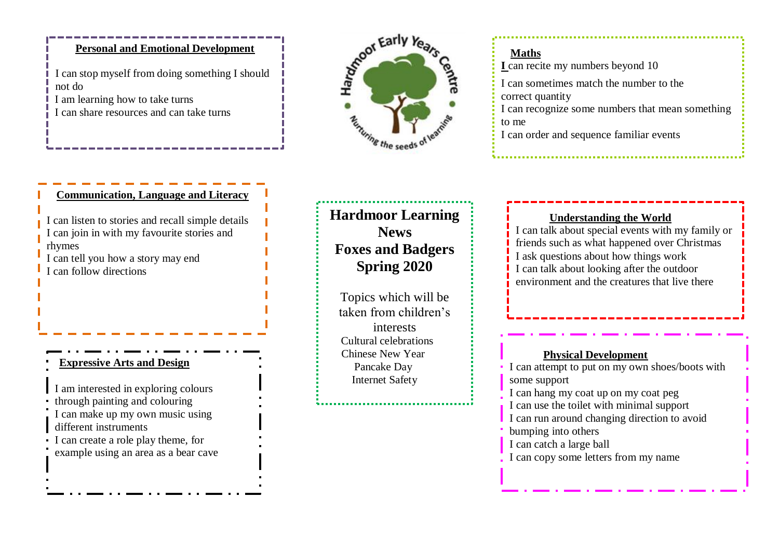#### **Personal and Emotional Development**

I can stop myself from doing something I should not do I am learning how to take turns I can share resources and can take turns



## **Maths I** can recite my numbers beyond 10 I can sometimes match the number to the correct quantity I can recognize some numbers that mean something to me I can order and sequence familiar events

#### **Communication, Language and Literacy**

I can listen to stories and recall simple details I can join in with my favourite stories and rhymes I can tell you how a story may end

I can follow directions

#### **Expressive Arts and Design**

I am interested in exploring colours

through painting and colouring

I can make up my own music using different instruments

I can create a role play theme, for

example using an area as a bear cave

**Hardmoor Learning News Foxes and Badgers Spring 2020**

Topics which will be taken from children's interests Cultural celebrations Chinese New Year Pancake Day Internet Safety

#### **Understanding the World**

I can talk about special events with my family or friends such as what happened over Christmas I ask questions about how things work I can talk about looking after the outdoor environment and the creatures that live there

#### **Physical Development**

I can attempt to put on my own shoes/boots with some support I can hang my coat up on my coat peg I can use the toilet with minimal support I can run around changing direction to avoid bumping into others I can catch a large ball I can copy some letters from my name